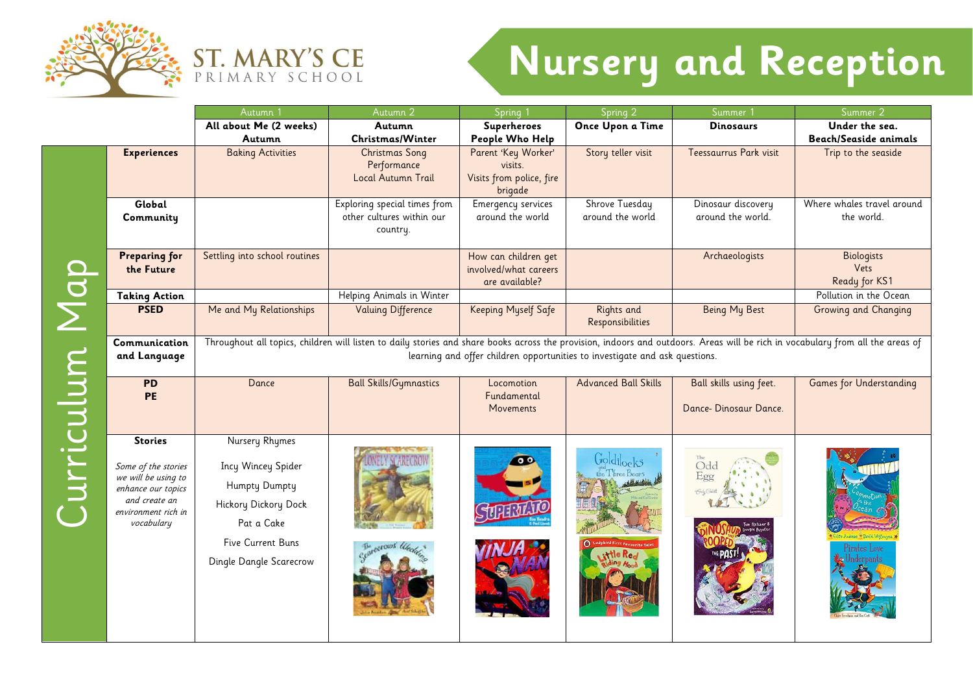



## **Nursery and Reception**

Autumn 1 **Autumn 2 Autumn 2** Spring 1 Spring 2 Summer 1 Summer 2 **All about Me (2 weeks) Superheroes Once Upon a Time Dinosaurs Under the sea. Autumn Autumn Christmas/Winter People Who Help Beach/Seaside animals Experiences** Baking Activities **Christmas Song** Parent 'Key Worker' Story teller visit Teessaurrus Park visit Trip to the seaside Performance visits. Local Autumn Trail Visits from police, fire brigade Exploring special times from **Global**  Emergency services Shrove Tuesday Dinosaur discovery Where whales travel around other cultures within our around the world around the world around the world. the world. **Community**  country. Settling into school routines • The Contract of How can children get Archaeologists | Biologists **Preparing for**  Curriculum Map Curriculum Map **the Future** involved/what careers Vets Ready for KS1 are available? **Taking Action** Helping Animals in Winter• • • Pollution in the Ocean **PSED** Me and My Relationships Valuing Difference Keeping Myself Safe Rights and Being My Best Growing and Changing Responsibilities Throughout all topics, children will listen to daily stories and share books across the provision, indoors and outdoors. Areas will be rich in vocabulary from all the areas of **Communication**  learning and offer children opportunities to investigate and ask questions. **and Language PD** Dance **Ball Skills/Gymnastics** Locomotion Advanced Ball Skills | Ball skills using feet. Games for Understanding **PE**  Fundamental **Movements** Dance- Dinosaur Dance. Nursery Rhymes **Stories**  $\bullet$ Incy Wincey Spider Some of the stories we will be using to Humpty Dumpty enhance our topics and create an Hickory Dickory Dock environment rich in vocabulary Pat a Cake Five Current Buns Dingle Dangle Scarecrow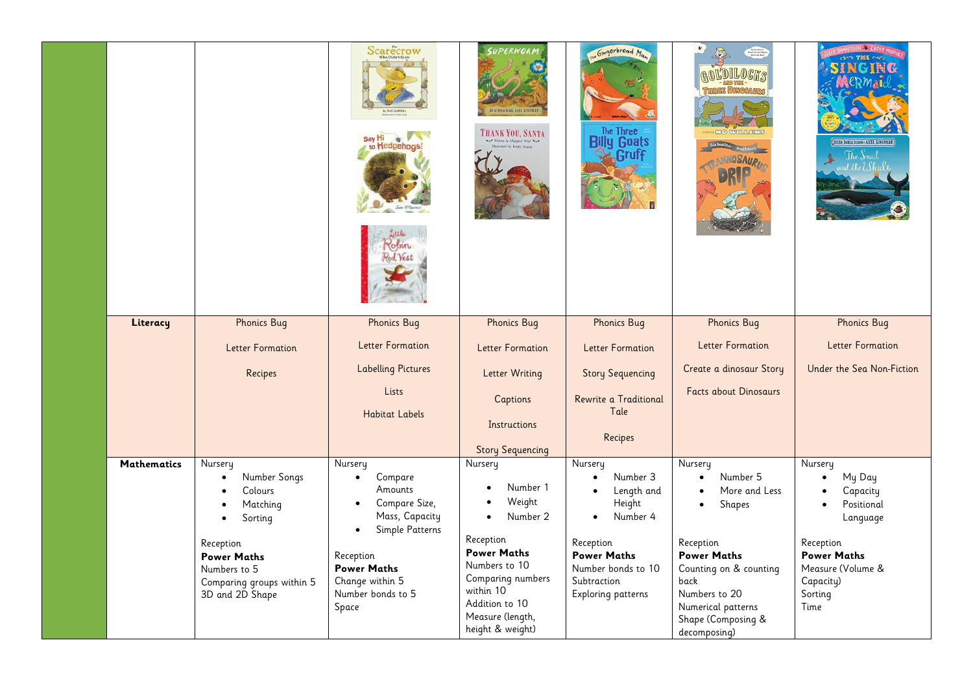|                    |                                                   | Scarecrow<br><b>Hedgehogs</b>                  | SUPERWORD<br>THANK YOU, SANTA                          | The Gingerbread Man<br><b>The Three</b><br><b>Billy Goats</b><br><b>Gruff</b> | <b>MANULOUS</b>                                          | JULIA DONALDSON - AXEL SCHEFFLER<br>The Snad<br>d.theWhal |
|--------------------|---------------------------------------------------|------------------------------------------------|--------------------------------------------------------|-------------------------------------------------------------------------------|----------------------------------------------------------|-----------------------------------------------------------|
| Literacy           | <b>Phonics Bug</b>                                | <b>Phonics Bug</b>                             | <b>Phonics Bug</b>                                     | <b>Phonics Bug</b>                                                            | <b>Phonics Bug</b>                                       | <b>Phonics Bug</b>                                        |
|                    | Letter Formation                                  | <b>Letter Formation</b>                        | <b>Letter Formation</b>                                | <b>Letter Formation</b>                                                       | <b>Letter Formation</b>                                  | <b>Letter Formation</b>                                   |
|                    | Recipes                                           | <b>Labelling Pictures</b>                      | Letter Writing                                         | <b>Story Sequencing</b>                                                       | Create a dinosaur Story                                  | Under the Sea Non-Fiction                                 |
|                    |                                                   | Lists<br><b>Habitat Labels</b>                 | Captions<br>Instructions<br><b>Story Sequencing</b>    | Rewrite a Traditional<br>Tale<br>Recipes                                      | <b>Facts about Dinosaurs</b>                             |                                                           |
| <b>Mathematics</b> | Nursery                                           | Nursery                                        | Nursery                                                | Nursery                                                                       | Nursery                                                  | Nursery                                                   |
|                    | Number Songs<br>$\bullet$<br>Colours<br>$\bullet$ | Compare<br>$\bullet$<br>Amounts                | Number 1                                               | Number 3<br>Length and                                                        | Number 5<br>$\bullet$<br>More and Less                   | My Day<br>$\bullet$<br>Capacity<br>$\bullet$              |
|                    | Matching<br>$\bullet$                             | Compare Size,<br>$\bullet$                     | Weight                                                 | Height                                                                        | Shapes<br>$\bullet$                                      | Positional                                                |
|                    | Sorting<br>$\bullet$                              | Mass, Capacity<br>Simple Patterns<br>$\bullet$ | Number 2<br>$\bullet$                                  | Number 4<br>$\bullet$                                                         |                                                          | Language                                                  |
|                    | Reception                                         |                                                | Reception<br><b>Power Maths</b>                        | Reception                                                                     | Reception                                                | Reception                                                 |
|                    | <b>Power Maths</b><br>Numbers to 5                | Reception<br><b>Power Maths</b>                | Numbers to 10                                          | <b>Power Maths</b><br>Number bonds to 10                                      | <b>Power Maths</b><br>Counting on & counting             | <b>Power Maths</b><br>Measure (Volume &                   |
|                    | Comparing groups within 5                         | Change within 5<br>Number bonds to 5           | Comparing numbers<br>within 10                         | Subtraction<br>Exploring patterns                                             | back<br>Numbers to 20                                    | Capacity)<br>Sorting                                      |
|                    | 3D and 2D Shape                                   | Space                                          | Addition to 10<br>Measure (length,<br>height & weight) |                                                                               | Numerical patterns<br>Shape (Composing &<br>decomposing) | Time                                                      |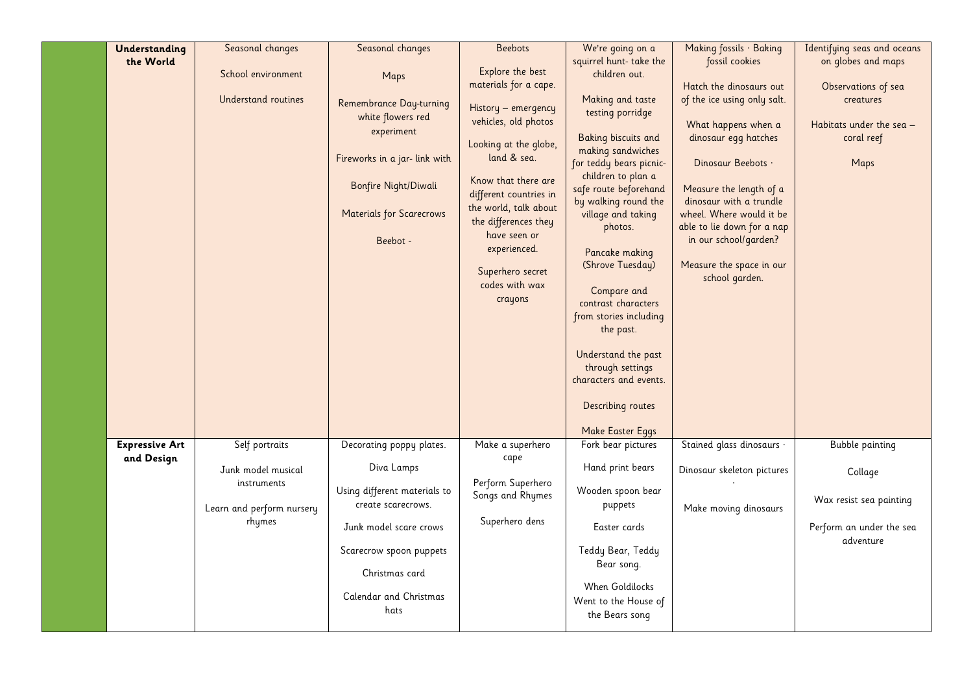| Understanding         | Seasonal changes                  | Seasonal changes                | <b>Beebots</b>         | We're going on a                           | Making fossils · Baking                             | Identifying seas and oceans |
|-----------------------|-----------------------------------|---------------------------------|------------------------|--------------------------------------------|-----------------------------------------------------|-----------------------------|
| the World             |                                   |                                 |                        | squirrel hunt-take the                     | fossil cookies                                      | on globes and maps          |
|                       | School environment                | Maps                            | Explore the best       | children out.                              |                                                     |                             |
|                       |                                   |                                 | materials for a cape.  |                                            | Hatch the dinosaurs out                             | Observations of sea         |
|                       | Understand routines               | Remembrance Day-turning         | History - emergency    | Making and taste<br>testing porridge       | of the ice using only salt.                         | creatures                   |
|                       |                                   | white flowers red               | vehicles, old photos   |                                            | What happens when a                                 | Habitats under the sea –    |
|                       |                                   | experiment                      |                        | Baking biscuits and                        | dinosaur egg hatches                                | coral reef                  |
|                       |                                   |                                 | Looking at the globe,  | making sandwiches                          |                                                     |                             |
|                       |                                   | Fireworks in a jar- link with   | land & sea.            | for teddy bears picnic-                    | Dinosaur Beebots ·                                  | Maps                        |
|                       |                                   | Bonfire Night/Diwali            | Know that there are    | children to plan a                         |                                                     |                             |
|                       |                                   |                                 | different countries in | safe route beforehand                      | Measure the length of a                             |                             |
|                       |                                   | <b>Materials for Scarecrows</b> | the world, talk about  | by walking round the<br>village and taking | dinosaur with a trundle<br>wheel. Where would it be |                             |
|                       |                                   |                                 | the differences they   | photos.                                    | able to lie down for a nap                          |                             |
|                       |                                   | Beebot -                        | have seen or           |                                            | in our school/garden?                               |                             |
|                       |                                   |                                 | experienced.           | Pancake making                             |                                                     |                             |
|                       |                                   |                                 | Superhero secret       | (Shrove Tuesday)                           | Measure the space in our                            |                             |
|                       |                                   |                                 | codes with wax         |                                            | school garden.                                      |                             |
|                       |                                   |                                 | crayons                | Compare and<br>contrast characters         |                                                     |                             |
|                       |                                   |                                 |                        | from stories including                     |                                                     |                             |
|                       |                                   |                                 |                        | the past.                                  |                                                     |                             |
|                       |                                   |                                 |                        |                                            |                                                     |                             |
|                       |                                   |                                 |                        | Understand the past                        |                                                     |                             |
|                       |                                   |                                 |                        | through settings                           |                                                     |                             |
|                       |                                   |                                 |                        | characters and events.                     |                                                     |                             |
|                       |                                   |                                 |                        | Describing routes                          |                                                     |                             |
|                       |                                   |                                 |                        |                                            |                                                     |                             |
|                       |                                   |                                 |                        | Make Easter Eggs                           |                                                     |                             |
| <b>Expressive Art</b> | Self portraits                    | Decorating poppy plates.        | Make a superhero       | Fork bear pictures                         | Stained glass dinosaurs ·                           | <b>Bubble painting</b>      |
| and Design            |                                   | Diva Lamps                      | cape                   | Hand print bears                           |                                                     |                             |
|                       | Junk model musical<br>instruments |                                 | Perform Superhero      |                                            | Dinosaur skeleton pictures                          | Collage                     |
|                       |                                   | Using different materials to    | Songs and Rhymes       | Wooden spoon bear                          |                                                     |                             |
|                       | Learn and perform nursery         | create scarecrows.              |                        | puppets                                    | Make moving dinosaurs                               | Wax resist sea painting     |
|                       | rhymes                            |                                 | Superhero dens         | Easter cards                               |                                                     | Perform an under the sea    |
|                       |                                   | Junk model scare crows          |                        |                                            |                                                     | adventure                   |
|                       |                                   | Scarecrow spoon puppets         |                        | Teddy Bear, Teddy                          |                                                     |                             |
|                       |                                   |                                 |                        | Bear song.                                 |                                                     |                             |
|                       |                                   | Christmas card                  |                        |                                            |                                                     |                             |
|                       |                                   | Calendar and Christmas          |                        | When Goldilocks<br>Went to the House of    |                                                     |                             |
|                       |                                   | hats                            |                        | the Bears song                             |                                                     |                             |
|                       |                                   |                                 |                        |                                            |                                                     |                             |